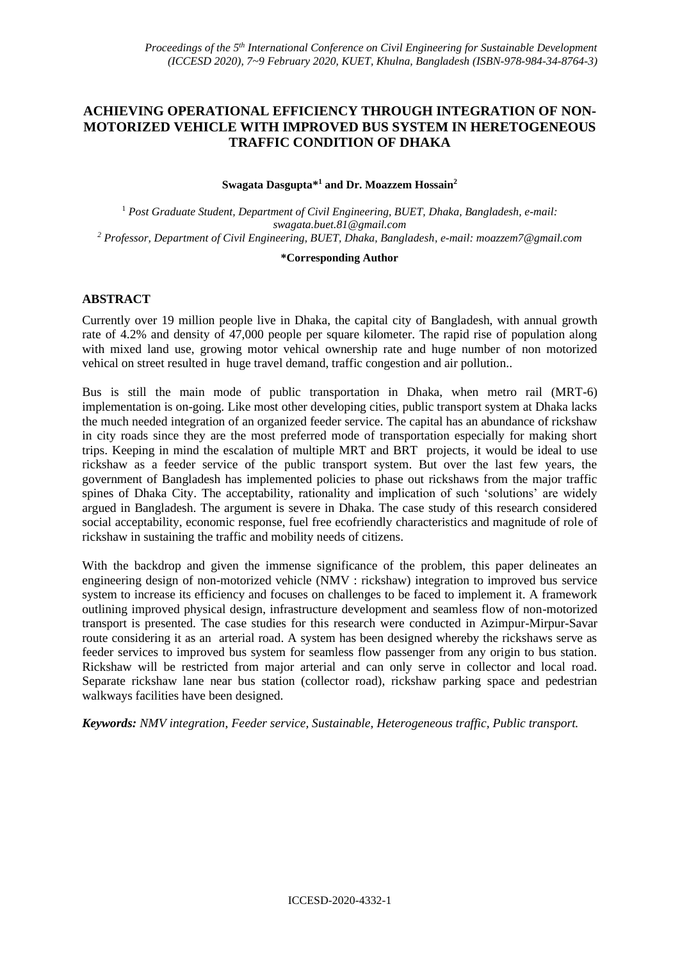# **ACHIEVING OPERATIONAL EFFICIENCY THROUGH INTEGRATION OF NON-MOTORIZED VEHICLE WITH IMPROVED BUS SYSTEM IN HERETOGENEOUS TRAFFIC CONDITION OF DHAKA**

#### **Swagata Dasgupta\* <sup>1</sup> and Dr. Moazzem Hossain<sup>2</sup>**

<sup>1</sup> *Post Graduate Student, Department of Civil Engineering, BUET, Dhaka, Bangladesh, e-mail: swagata.buet.81@gmail.com <sup>2</sup> Professor, Department of Civil Engineering, BUET, Dhaka, Bangladesh, e-mail: moazzem7@gmail.com*

#### **\*Corresponding Author**

## **ABSTRACT**

Currently over 19 million people live in Dhaka, the capital city of Bangladesh, with annual growth rate of 4.2% and density of 47,000 people per square kilometer. The rapid rise of population along with mixed land use, growing motor vehical ownership rate and huge number of non motorized vehical on street resulted in huge travel demand, traffic congestion and air pollution..

Bus is still the main mode of public transportation in Dhaka, when metro rail (MRT-6) implementation is on-going. Like most other developing cities, public transport system at Dhaka lacks the much needed integration of an organized feeder service. The capital has an abundance of rickshaw in city roads since they are the most preferred mode of transportation especially for making short trips. Keeping in mind the escalation of multiple MRT and BRT projects, it would be ideal to use rickshaw as a feeder service of the public transport system. But over the last few years, the government of Bangladesh has implemented policies to phase out rickshaws from the major traffic spines of Dhaka City. The acceptability, rationality and implication of such 'solutions' are widely argued in Bangladesh. The argument is severe in Dhaka. The case study of this research considered social acceptability, economic response, fuel free ecofriendly characteristics and magnitude of role of rickshaw in sustaining the traffic and mobility needs of citizens.

With the backdrop and given the immense significance of the problem, this paper delineates an engineering design of non-motorized vehicle (NMV : rickshaw) integration to improved bus service system to increase its efficiency and focuses on challenges to be faced to implement it. A framework outlining improved physical design, infrastructure development and seamless flow of non-motorized transport is presented. The case studies for this research were conducted in Azimpur-Mirpur-Savar route considering it as an arterial road. A system has been designed whereby the rickshaws serve as feeder services to improved bus system for seamless flow passenger from any origin to bus station. Rickshaw will be restricted from major arterial and can only serve in collector and local road. Separate rickshaw lane near bus station (collector road), rickshaw parking space and pedestrian walkways facilities have been designed.

*Keywords: NMV integration*, *Feeder service, Sustainable, Heterogeneous traffic, Public transport.*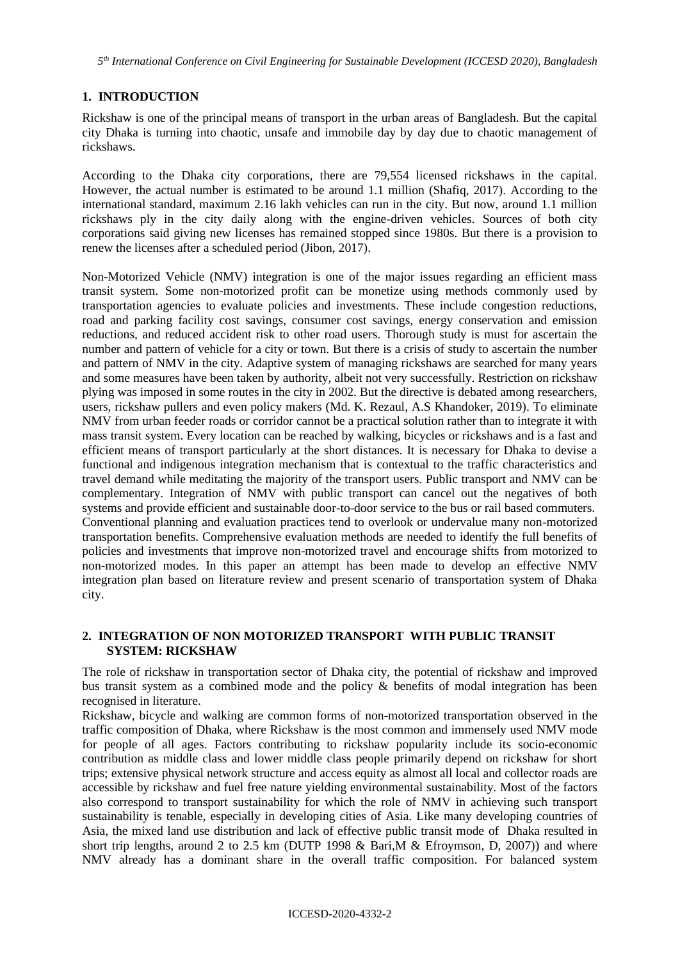## **1. INTRODUCTION**

Rickshaw is one of the principal means of transport in the urban areas of Bangladesh. But the capital city Dhaka is turning into chaotic, unsafe and immobile day by day due to chaotic management of rickshaws.

According to the Dhaka city corporations, there are 79,554 licensed rickshaws in the capital. However, the actual number is estimated to be around 1.1 million (Shafiq, 2017). According to the international standard, maximum 2.16 lakh vehicles can run in the city. But now, around 1.1 million rickshaws ply in the city daily along with the engine-driven vehicles. Sources of both city corporations said giving new licenses has remained stopped since 1980s. But there is a provision to renew the licenses after a scheduled period (Jibon, 2017).

Non-Motorized Vehicle (NMV) integration is one of the major issues regarding an efficient mass transit system. Some non-motorized profit can be monetize using methods commonly used by transportation agencies to evaluate policies and investments. These include congestion reductions, road and parking facility cost savings, consumer cost savings, energy conservation and emission reductions, and reduced accident risk to other road users. Thorough study is must for ascertain the number and pattern of vehicle for a city or town. But there is a crisis of study to ascertain the number and pattern of NMV in the city. Adaptive system of managing rickshaws are searched for many years and some measures have been taken by authority, albeit not very successfully. Restriction on rickshaw plying was imposed in some routes in the city in 2002. But the directive is debated among researchers, users, rickshaw pullers and even policy makers (Md. K. Rezaul, A.S Khandoker, 2019). To eliminate NMV from urban feeder roads or corridor cannot be a practical solution rather than to integrate it with mass transit system. Every location can be reached by walking, bicycles or rickshaws and is a fast and efficient means of transport particularly at the short distances. It is necessary for Dhaka to devise a functional and indigenous integration mechanism that is contextual to the traffic characteristics and travel demand while meditating the majority of the transport users. Public transport and NMV can be complementary. Integration of NMV with public transport can cancel out the negatives of both systems and provide efficient and sustainable door-to-door service to the bus or rail based commuters. Conventional planning and evaluation practices tend to overlook or undervalue many non-motorized transportation benefits. Comprehensive evaluation methods are needed to identify the full benefits of policies and investments that improve non-motorized travel and encourage shifts from motorized to non-motorized modes. In this paper an attempt has been made to develop an effective NMV integration plan based on literature review and present scenario of transportation system of Dhaka city.

# **2. INTEGRATION OF NON MOTORIZED TRANSPORT WITH PUBLIC TRANSIT SYSTEM: RICKSHAW**

The role of rickshaw in transportation sector of Dhaka city, the potential of rickshaw and improved bus transit system as a combined mode and the policy & benefits of modal integration has been recognised in literature.

Rickshaw, bicycle and walking are common forms of non-motorized transportation observed in the traffic composition of Dhaka, where Rickshaw is the most common and immensely used NMV mode for people of all ages. Factors contributing to rickshaw popularity include its socio-economic contribution as middle class and lower middle class people primarily depend on rickshaw for short trips; extensive physical network structure and access equity as almost all local and collector roads are accessible by rickshaw and fuel free nature yielding environmental sustainability. Most of the factors also correspond to transport sustainability for which the role of NMV in achieving such transport sustainability is tenable, especially in developing cities of Asia. Like many developing countries of Asia, the mixed land use distribution and lack of effective public transit mode of Dhaka resulted in short trip lengths, around 2 to 2.5 km (DUTP 1998  $&$  Bari, M  $&$  Efroymson, D, 2007)) and where NMV already has a dominant share in the overall traffic composition. For balanced system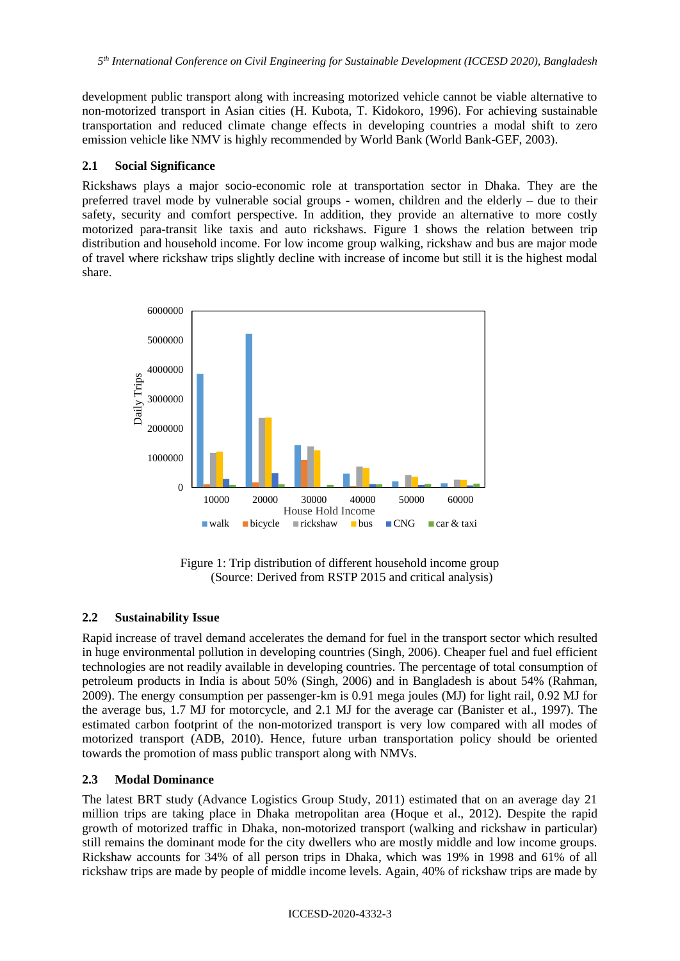*5 th International Conference on Civil Engineering for Sustainable Development (ICCESD 2020), Bangladesh*

development public transport along with increasing motorized vehicle cannot be viable alternative to non-motorized transport in Asian cities (H. Kubota, T. Kidokoro, 1996). For achieving sustainable transportation and reduced climate change effects in developing countries a modal shift to zero emission vehicle like NMV is highly recommended by World Bank (World Bank-GEF, 2003).

### **2.1 Social Significance**

Rickshaws plays a major socio-economic role at transportation sector in Dhaka. They are the preferred travel mode by vulnerable social groups - women, children and the elderly – due to their safety, security and comfort perspective. In addition, they provide an alternative to more costly motorized para-transit like taxis and auto rickshaws. Figure 1 shows the relation between trip distribution and household income. For low income group walking, rickshaw and bus are major mode of travel where rickshaw trips slightly decline with increase of income but still it is the highest modal share.



Figure 1: Trip distribution of different household income group (Source: Derived from RSTP 2015 and critical analysis)

# **2.2 Sustainability Issue**

Rapid increase of travel demand accelerates the demand for fuel in the transport sector which resulted in huge environmental pollution in developing countries (Singh, 2006). Cheaper fuel and fuel efficient technologies are not readily available in developing countries. The percentage of total consumption of petroleum products in India is about 50% (Singh, 2006) and in Bangladesh is about 54% (Rahman, 2009). The energy consumption per passenger-km is 0.91 mega joules (MJ) for light rail, 0.92 MJ for the average bus, 1.7 MJ for motorcycle, and 2.1 MJ for the average car (Banister et al., 1997). The estimated carbon footprint of the non-motorized transport is very low compared with all modes of motorized transport (ADB, 2010). Hence, future urban transportation policy should be oriented towards the promotion of mass public transport along with NMVs.

# **2.3 Modal Dominance**

The latest BRT study (Advance Logistics Group Study, 2011) estimated that on an average day 21 million trips are taking place in Dhaka metropolitan area (Hoque et al., 2012). Despite the rapid growth of motorized traffic in Dhaka, non-motorized transport (walking and rickshaw in particular) still remains the dominant mode for the city dwellers who are mostly middle and low income groups. Rickshaw accounts for 34% of all person trips in Dhaka, which was 19% in 1998 and 61% of all rickshaw trips are made by people of middle income levels. Again, 40% of rickshaw trips are made by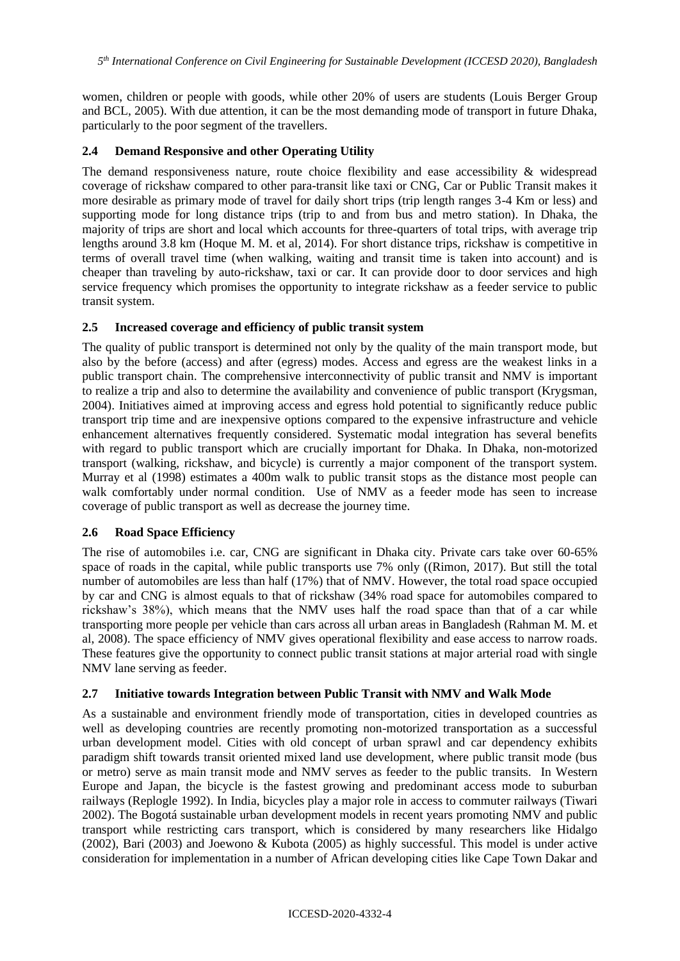women, children or people with goods, while other 20% of users are students (Louis Berger Group and BCL, 2005). With due attention, it can be the most demanding mode of transport in future Dhaka, particularly to the poor segment of the travellers.

## **2.4 Demand Responsive and other Operating Utility**

The demand responsiveness nature, route choice flexibility and ease accessibility & widespread coverage of rickshaw compared to other para-transit like taxi or CNG, Car or Public Transit makes it more desirable as primary mode of travel for daily short trips (trip length ranges 3-4 Km or less) and supporting mode for long distance trips (trip to and from bus and metro station). In Dhaka, the majority of trips are short and local which accounts for three-quarters of total trips, with average trip lengths around 3.8 km (Hoque M. M. et al, 2014). For short distance trips, rickshaw is competitive in terms of overall travel time (when walking, waiting and transit time is taken into account) and is cheaper than traveling by auto-rickshaw, taxi or car. It can provide door to door services and high service frequency which promises the opportunity to integrate rickshaw as a feeder service to public transit system.

## **2.5 Increased coverage and efficiency of public transit system**

The quality of public transport is determined not only by the quality of the main transport mode, but also by the before (access) and after (egress) modes. Access and egress are the weakest links in a public transport chain. The comprehensive interconnectivity of public transit and NMV is important to realize a trip and also to determine the availability and convenience of public transport (Krygsman, 2004). Initiatives aimed at improving access and egress hold potential to significantly reduce public transport trip time and are inexpensive options compared to the expensive infrastructure and vehicle enhancement alternatives frequently considered. Systematic modal integration has several benefits with regard to public transport which are crucially important for Dhaka. In Dhaka, non-motorized transport (walking, rickshaw, and bicycle) is currently a major component of the transport system. Murray et al (1998) estimates a 400m walk to public transit stops as the distance most people can walk comfortably under normal condition. Use of NMV as a feeder mode has seen to increase coverage of public transport as well as decrease the journey time.

### **2.6 Road Space Efficiency**

The rise of automobiles i.e. car, CNG are significant in Dhaka city. Private cars take over 60-65% space of roads in the capital, while public transports use 7% only ((Rimon, 2017). But still the total number of automobiles are less than half (17%) that of NMV. However, the total road space occupied by car and CNG is almost equals to that of rickshaw (34% road space for automobiles compared to rickshaw's 38%), which means that the NMV uses half the road space than that of a car while transporting more people per vehicle than cars across all urban areas in Bangladesh (Rahman M. M. et al, 2008). The space efficiency of NMV gives operational flexibility and ease access to narrow roads. These features give the opportunity to connect public transit stations at major arterial road with single NMV lane serving as feeder.

### **2.7 Initiative towards Integration between Public Transit with NMV and Walk Mode**

As a sustainable and environment friendly mode of transportation, cities in developed countries as well as developing countries are recently promoting non-motorized transportation as a successful urban development model. Cities with old concept of urban sprawl and car dependency exhibits paradigm shift towards transit oriented mixed land use development, where public transit mode (bus or metro) serve as main transit mode and NMV serves as feeder to the public transits. In Western Europe and Japan, the bicycle is the fastest growing and predominant access mode to suburban railways (Replogle 1992). In India, bicycles play a major role in access to commuter railways (Tiwari 2002). The Bogotá sustainable urban development models in recent years promoting NMV and public transport while restricting cars transport, which is considered by many researchers like Hidalgo (2002), Bari (2003) and Joewono & Kubota (2005) as highly successful. This model is under active consideration for implementation in a number of African developing cities like Cape Town Dakar and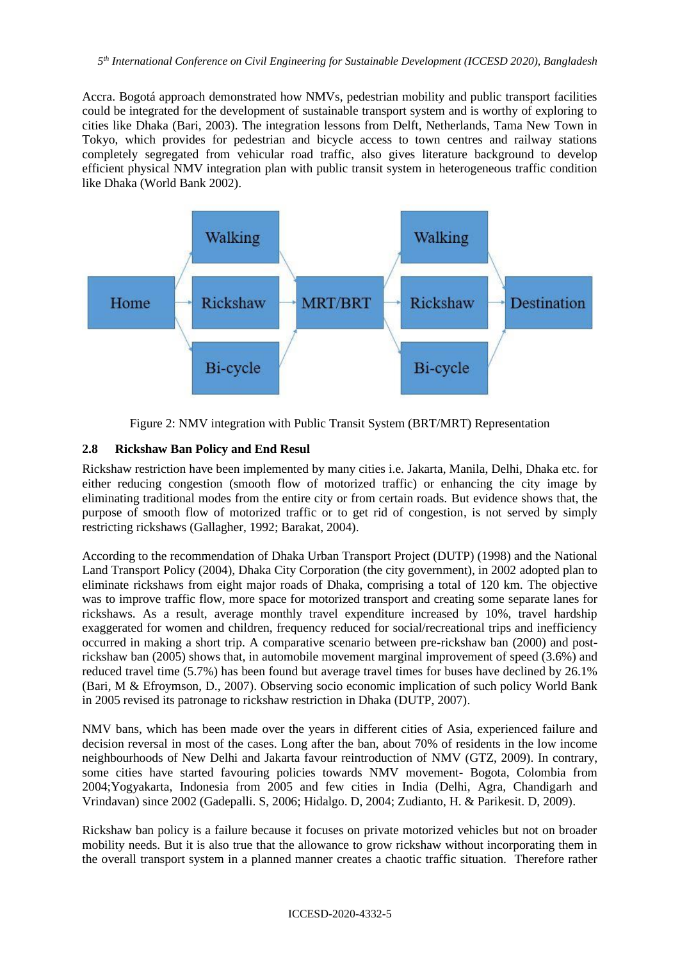Accra. Bogotá approach demonstrated how NMVs, pedestrian mobility and public transport facilities could be integrated for the development of sustainable transport system and is worthy of exploring to cities like Dhaka (Bari, 2003). The integration lessons from Delft, Netherlands, Tama New Town in Tokyo, which provides for pedestrian and bicycle access to town centres and railway stations completely segregated from vehicular road traffic, also gives literature background to develop efficient physical NMV integration plan with public transit system in heterogeneous traffic condition like Dhaka (World Bank 2002).



Figure 2: NMV integration with Public Transit System (BRT/MRT) Representation

# **2.8 Rickshaw Ban Policy and End Resul**

Rickshaw restriction have been implemented by many cities i.e. Jakarta, Manila, Delhi, Dhaka etc. for either reducing congestion (smooth flow of motorized traffic) or enhancing the city image by eliminating traditional modes from the entire city or from certain roads. But evidence shows that, the purpose of smooth flow of motorized traffic or to get rid of congestion, is not served by simply restricting rickshaws (Gallagher, 1992; Barakat, 2004).

According to the recommendation of Dhaka Urban Transport Project (DUTP) (1998) and the National Land Transport Policy (2004), Dhaka City Corporation (the city government), in 2002 adopted plan to eliminate rickshaws from eight major roads of Dhaka, comprising a total of 120 km. The objective was to improve traffic flow, more space for motorized transport and creating some separate lanes for rickshaws. As a result, average monthly travel expenditure increased by 10%, travel hardship exaggerated for women and children, frequency reduced for social/recreational trips and inefficiency occurred in making a short trip. A comparative scenario between pre-rickshaw ban (2000) and postrickshaw ban (2005) shows that, in automobile movement marginal improvement of speed (3.6%) and reduced travel time (5.7%) has been found but average travel times for buses have declined by 26.1% (Bari, M & Efroymson, D., 2007). Observing socio economic implication of such policy World Bank in 2005 revised its patronage to rickshaw restriction in Dhaka (DUTP, 2007).

NMV bans, which has been made over the years in different cities of Asia, experienced failure and decision reversal in most of the cases. Long after the ban, about 70% of residents in the low income neighbourhoods of New Delhi and Jakarta favour reintroduction of NMV (GTZ, 2009). In contrary, some cities have started favouring policies towards NMV movement- Bogota, Colombia from 2004;Yogyakarta, Indonesia from 2005 and few cities in India (Delhi, Agra, Chandigarh and Vrindavan) since 2002 (Gadepalli. S, 2006; Hidalgo. D, 2004; Zudianto, H. & Parikesit. D, 2009).

Rickshaw ban policy is a failure because it focuses on private motorized vehicles but not on broader mobility needs. But it is also true that the allowance to grow rickshaw without incorporating them in the overall transport system in a planned manner creates a chaotic traffic situation. Therefore rather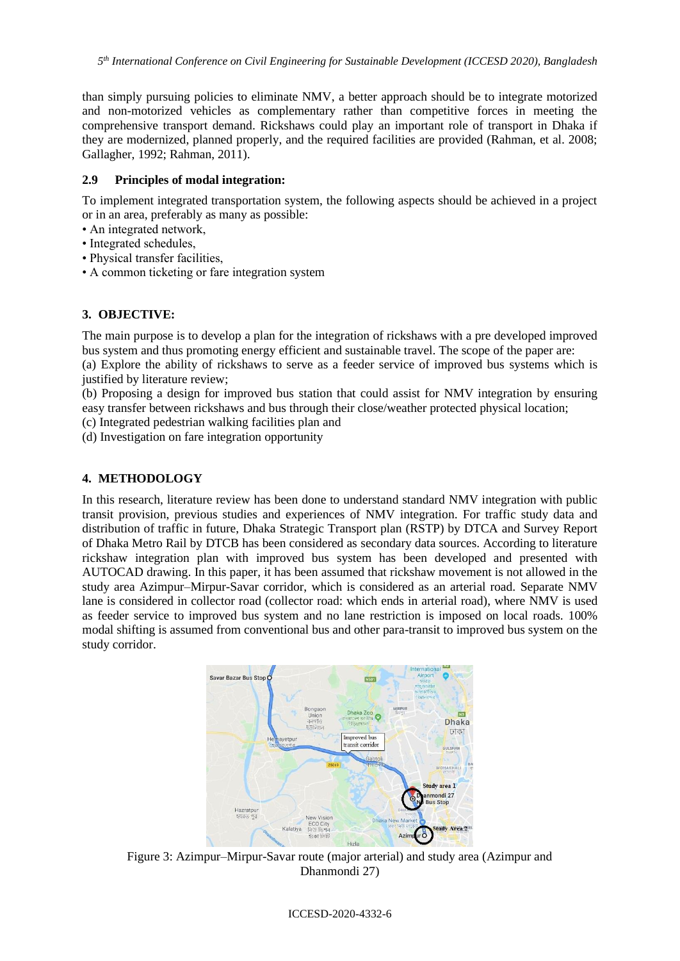than simply pursuing policies to eliminate NMV, a better approach should be to integrate motorized and non-motorized vehicles as complementary rather than competitive forces in meeting the comprehensive transport demand. Rickshaws could play an important role of transport in Dhaka if they are modernized, planned properly, and the required facilities are provided (Rahman, et al. 2008; Gallagher, 1992; Rahman, 2011).

## **2.9 Principles of modal integration:**

To implement integrated transportation system, the following aspects should be achieved in a project or in an area, preferably as many as possible:

- An integrated network,
- Integrated schedules,
- Physical transfer facilities,
- A common ticketing or fare integration system

# **3. OBJECTIVE:**

The main purpose is to develop a plan for the integration of rickshaws with a pre developed improved bus system and thus promoting energy efficient and sustainable travel. The scope of the paper are: (a) Explore the ability of rickshaws to serve as a feeder service of improved bus systems which is justified by literature review;

(b) Proposing a design for improved bus station that could assist for NMV integration by ensuring easy transfer between rickshaws and bus through their close/weather protected physical location;

(c) Integrated pedestrian walking facilities plan and

(d) Investigation on fare integration opportunity

# **4. METHODOLOGY**

In this research, literature review has been done to understand standard NMV integration with public transit provision, previous studies and experiences of NMV integration. For traffic study data and distribution of traffic in future, Dhaka Strategic Transport plan (RSTP) by DTCA and Survey Report of Dhaka Metro Rail by DTCB has been considered as secondary data sources. According to literature rickshaw integration plan with improved bus system has been developed and presented with AUTOCAD drawing. In this paper, it has been assumed that rickshaw movement is not allowed in the study area Azimpur–Mirpur-Savar corridor, which is considered as an arterial road. Separate NMV lane is considered in collector road (collector road: which ends in arterial road), where NMV is used as feeder service to improved bus system and no lane restriction is imposed on local roads. 100% modal shifting is assumed from conventional bus and other para-transit to improved bus system on the study corridor.



Figure 3: Azimpur–Mirpur-Savar route (major arterial) and study area (Azimpur and Dhanmondi 27)

#### ICCESD-2020-4332-6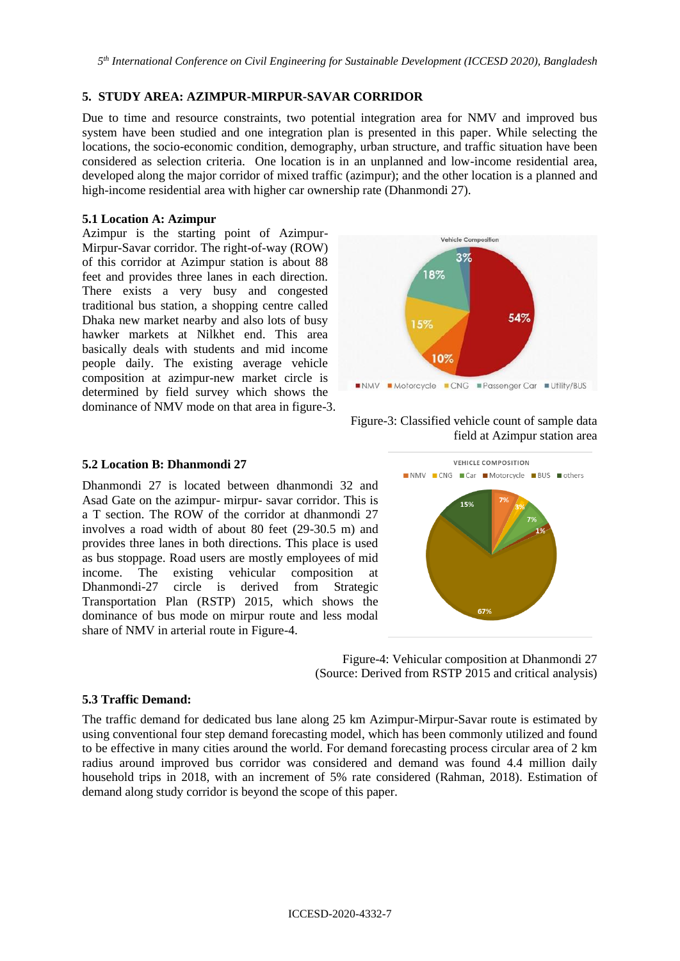*5 th International Conference on Civil Engineering for Sustainable Development (ICCESD 2020), Bangladesh*

### **5. STUDY AREA: AZIMPUR-MIRPUR-SAVAR CORRIDOR**

Due to time and resource constraints, two potential integration area for NMV and improved bus system have been studied and one integration plan is presented in this paper. While selecting the locations, the socio-economic condition, demography, urban structure, and traffic situation have been considered as selection criteria. One location is in an unplanned and low-income residential area, developed along the major corridor of mixed traffic (azimpur); and the other location is a planned and high-income residential area with higher car ownership rate (Dhanmondi 27).

## **5.1 Location A: Azimpur**

Azimpur is the starting point of Azimpur-Mirpur-Savar corridor. The right-of-way (ROW) of this corridor at Azimpur station is about 88 feet and provides three lanes in each direction. There exists a very busy and congested traditional bus station, a shopping centre called Dhaka new market nearby and also lots of busy hawker markets at Nilkhet end. This area basically deals with students and mid income people daily. The existing average vehicle composition at azimpur-new market circle is determined by field survey which shows the dominance of NMV mode on that area in figure-3.



## Figure-3: Classified vehicle count of sample data field at Azimpur station area

### **5.2 Location B: Dhanmondi 27**

Dhanmondi 27 is located between dhanmondi 32 and Asad Gate on the azimpur- mirpur- savar corridor. This is a T section. The ROW of the corridor at dhanmondi 27 involves a road width of about 80 feet (29-30.5 m) and provides three lanes in both directions. This place is used as bus stoppage. Road users are mostly employees of mid income. The existing vehicular composition at Dhanmondi-27 circle is derived from Strategic Transportation Plan (RSTP) 2015, which shows the dominance of bus mode on mirpur route and less modal share of NMV in arterial route in Figure-4.



Figure-4: Vehicular composition at Dhanmondi 27 (Source: Derived from RSTP 2015 and critical analysis)

### **5.3 Traffic Demand:**

The traffic demand for dedicated bus lane along 25 km Azimpur-Mirpur-Savar route is estimated by using conventional four step demand forecasting model, which has been commonly utilized and found to be effective in many cities around the world. For demand forecasting process circular area of 2 km radius around improved bus corridor was considered and demand was found 4.4 million daily household trips in 2018, with an increment of 5% rate considered (Rahman, 2018). Estimation of demand along study corridor is beyond the scope of this paper.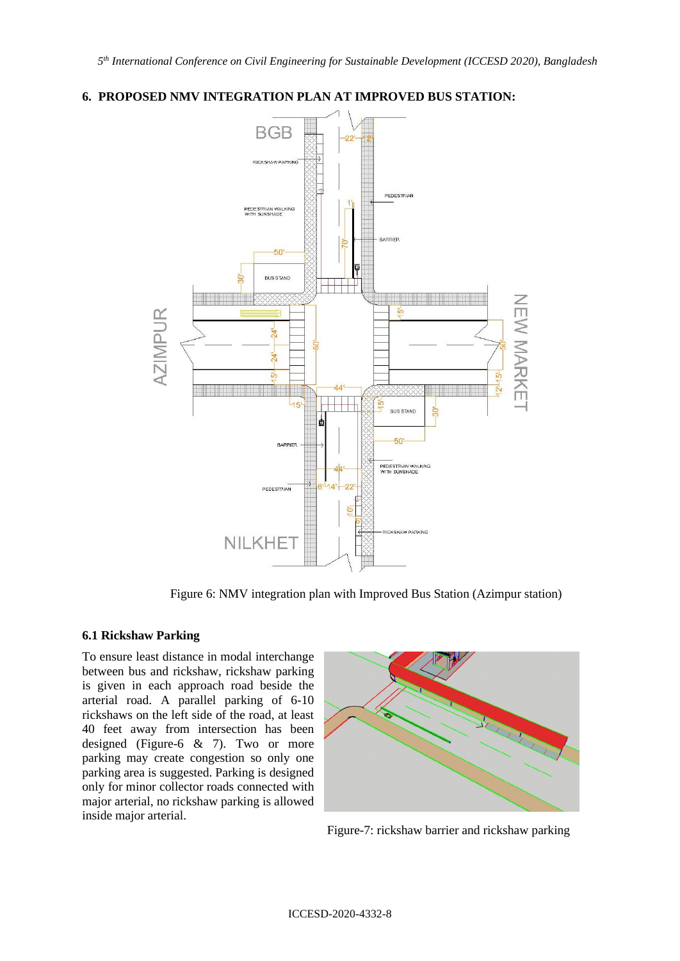## **6. PROPOSED NMV INTEGRATION PLAN AT IMPROVED BUS STATION:**



Figure 6: NMV integration plan with Improved Bus Station (Azimpur station)

### **6.1 Rickshaw Parking**

To ensure least distance in modal interchange between bus and rickshaw, rickshaw parking is given in each approach road beside the arterial road. A parallel parking of 6-10 rickshaws on the left side of the road, at least 40 feet away from intersection has been designed (Figure-6 & 7). Two or more parking may create congestion so only one parking area is suggested. Parking is designed only for minor collector roads connected with major arterial, no rickshaw parking is allowed inside major arterial.



Figure-7: rickshaw barrier and rickshaw parking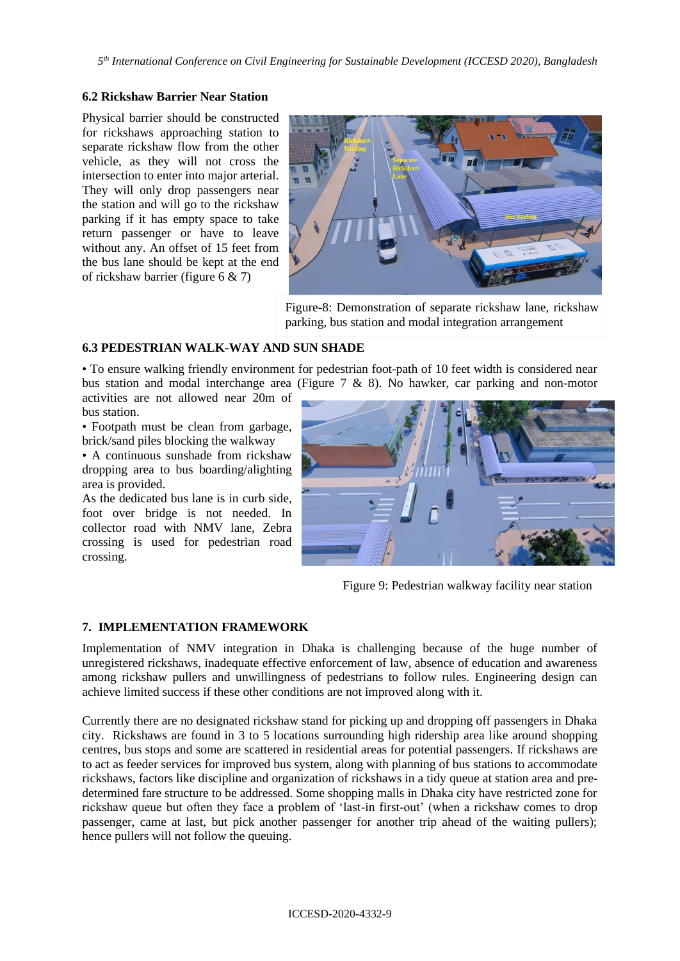## **6.2 Rickshaw Barrier Near Station**

Physical barrier should be constructed for rickshaws approaching station to separate rickshaw flow from the other vehicle, as they will not cross the intersection to enter into major arterial. They will only drop passengers near the station and will go to the rickshaw parking if it has empty space to take return passenger or have to leave without any. An offset of 15 feet from the bus lane should be kept at the end of rickshaw barrier (figure 6 & 7)



Figure-8: Demonstration of separate rickshaw lane, rickshaw parking, bus station and modal integration arrangement

### **6.3 PEDESTRIAN WALK-WAY AND SUN SHADE**

• To ensure walking friendly environment for pedestrian foot-path of 10 feet width is considered near bus station and modal interchange area (Figure 7 & 8). No hawker, car parking and non-motor

activities are not allowed near 20m of bus station.

• Footpath must be clean from garbage, brick/sand piles blocking the walkway

• A continuous sunshade from rickshaw dropping area to bus boarding/alighting area is provided.

As the dedicated bus lane is in curb side, foot over bridge is not needed. In collector road with NMV lane, Zebra crossing is used for pedestrian road crossing.



Figure 9: Pedestrian walkway facility near station

### **7. IMPLEMENTATION FRAMEWORK**

Implementation of NMV integration in Dhaka is challenging because of the huge number of unregistered rickshaws, inadequate effective enforcement of law, absence of education and awareness among rickshaw pullers and unwillingness of pedestrians to follow rules. Engineering design can achieve limited success if these other conditions are not improved along with it.

Currently there are no designated rickshaw stand for picking up and dropping off passengers in Dhaka city. Rickshaws are found in 3 to 5 locations surrounding high ridership area like around shopping centres, bus stops and some are scattered in residential areas for potential passengers. If rickshaws are to act as feeder services for improved bus system, along with planning of bus stations to accommodate rickshaws, factors like discipline and organization of rickshaws in a tidy queue at station area and predetermined fare structure to be addressed. Some shopping malls in Dhaka city have restricted zone for rickshaw queue but often they face a problem of 'last-in first-out' (when a rickshaw comes to drop passenger, came at last, but pick another passenger for another trip ahead of the waiting pullers); hence pullers will not follow the queuing.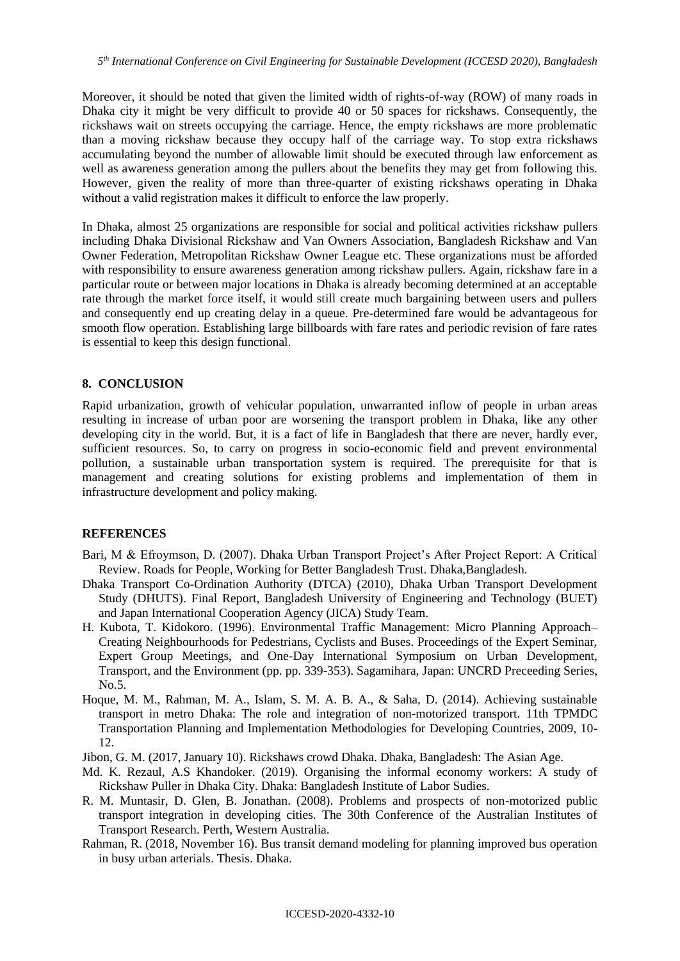Moreover, it should be noted that given the limited width of rights-of-way (ROW) of many roads in Dhaka city it might be very difficult to provide 40 or 50 spaces for rickshaws. Consequently, the rickshaws wait on streets occupying the carriage. Hence, the empty rickshaws are more problematic than a moving rickshaw because they occupy half of the carriage way. To stop extra rickshaws accumulating beyond the number of allowable limit should be executed through law enforcement as well as awareness generation among the pullers about the benefits they may get from following this. However, given the reality of more than three-quarter of existing rickshaws operating in Dhaka without a valid registration makes it difficult to enforce the law properly.

In Dhaka, almost 25 organizations are responsible for social and political activities rickshaw pullers including Dhaka Divisional Rickshaw and Van Owners Association, Bangladesh Rickshaw and Van Owner Federation, Metropolitan Rickshaw Owner League etc. These organizations must be afforded with responsibility to ensure awareness generation among rickshaw pullers. Again, rickshaw fare in a particular route or between major locations in Dhaka is already becoming determined at an acceptable rate through the market force itself, it would still create much bargaining between users and pullers and consequently end up creating delay in a queue. Pre-determined fare would be advantageous for smooth flow operation. Establishing large billboards with fare rates and periodic revision of fare rates is essential to keep this design functional.

#### **8. CONCLUSION**

Rapid urbanization, growth of vehicular population, unwarranted inflow of people in urban areas resulting in increase of urban poor are worsening the transport problem in Dhaka, like any other developing city in the world. But, it is a fact of life in Bangladesh that there are never, hardly ever, sufficient resources. So, to carry on progress in socio-economic field and prevent environmental pollution, a sustainable urban transportation system is required. The prerequisite for that is management and creating solutions for existing problems and implementation of them in infrastructure development and policy making.

#### **REFERENCES**

- Bari, M & Efroymson, D. (2007). Dhaka Urban Transport Project's After Project Report: A Critical Review. Roads for People, Working for Better Bangladesh Trust. Dhaka,Bangladesh.
- Dhaka Transport Co-Ordination Authority (DTCA) (2010), Dhaka Urban Transport Development Study (DHUTS). Final Report, Bangladesh University of Engineering and Technology (BUET) and Japan International Cooperation Agency (JICA) Study Team.
- H. Kubota, T. Kidokoro. (1996). Environmental Traffic Management: Micro Planning Approach– Creating Neighbourhoods for Pedestrians, Cyclists and Buses. Proceedings of the Expert Seminar, Expert Group Meetings, and One-Day International Symposium on Urban Development, Transport, and the Environment (pp. pp. 339-353). Sagamihara, Japan: UNCRD Preceeding Series, No.5.
- Hoque, M. M., Rahman, M. A., Islam, S. M. A. B. A., & Saha, D. (2014). Achieving sustainable transport in metro Dhaka: The role and integration of non-motorized transport. 11th TPMDC Transportation Planning and Implementation Methodologies for Developing Countries, 2009, 10- 12.
- Jibon, G. M. (2017, January 10). Rickshaws crowd Dhaka. Dhaka, Bangladesh: The Asian Age.
- Md. K. Rezaul, A.S Khandoker. (2019). Organising the informal economy workers: A study of Rickshaw Puller in Dhaka City. Dhaka: Bangladesh Institute of Labor Sudies.
- R. M. Muntasir, D. Glen, B. Jonathan. (2008). Problems and prospects of non-motorized public transport integration in developing cities. The 30th Conference of the Australian Institutes of Transport Research. Perth, Western Australia.
- Rahman, R. (2018, November 16). Bus transit demand modeling for planning improved bus operation in busy urban arterials. Thesis. Dhaka.